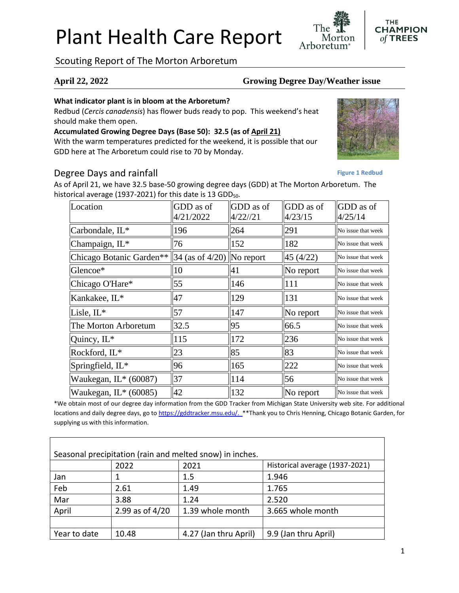# Plant Health Care Report

Scouting Report of The Morton Arboretum

#### **April 22, 2022 Growing Degree Day/Weather issue**

Arboretum

#### **What indicator plant is in bloom at the Arboretum?**

Redbud (*Cercis canadensis*) has flower buds ready to pop. This weekend's heat should make them open.

# **Accumulated Growing Degree Days (Base 50): 32.5 (as of April 21)**

With the warm temperatures predicted for the weekend, it is possible that our GDD here at The Arboretum could rise to 70 by Monday.

### Degree Days and rainfall

As of April 21, we have 32.5 base-50 growing degree days (GDD) at The Morton Arboretum. The historical average (1937-2021) for this date is 13 GDD $_{50}$ .

| Location                 | GDD as of<br>4/21/2022      | GDD as of<br>4/22//21 | GDD as of<br>4/23/15 | GDD as of<br>4/25/14 |
|--------------------------|-----------------------------|-----------------------|----------------------|----------------------|
| Carbondale, IL*          | 196                         | 264                   | 291                  | No issue that week   |
| Champaign, IL*           | 76                          | 152                   | 182                  | No issue that week   |
| Chicago Botanic Garden** | $34$ (as of 4/20) No report |                       | 45(4/22)             | No issue that week   |
| Glencoe*                 | 10                          | 41                    | No report            | No issue that week   |
| Chicago O'Hare*          | 55                          | 146                   | 111                  | No issue that week   |
| Kankakee, IL*            | 47                          | 129                   | 131                  | No issue that week   |
| Lisle, IL*               | 57                          | 147                   | No report            | No issue that week   |
| The Morton Arboretum     | 32.5                        | 95                    | 66.5                 | No issue that week   |
| Quincy, IL*              | 115                         | 172                   | 236                  | No issue that week   |
| Rockford, IL*            | 23                          | 85                    | 83                   | No issue that week   |
| Springfield, IL*         | 96                          | 165                   | 222                  | No issue that week   |
| Waukegan, $IL* (60087)$  | 37                          | 114                   | 56                   | No issue that week   |
| Waukegan, $IL^*(60085)$  | 42                          | 132                   | No report            | No issue that week   |

\*We obtain most of our degree day information from the GDD Tracker from Michigan State University web site. For additional locations and daily degree days, go to [https://gddtracker.msu.edu/.](https://gddtracker.msu.edu/) \*\*Thank you to Chris Henning, Chicago Botanic Garden, for supplying us with this information.

| Seasonal precipitation (rain and melted snow) in inches. |                 |                       |                                |  |  |  |
|----------------------------------------------------------|-----------------|-----------------------|--------------------------------|--|--|--|
|                                                          | 2022            | 2021                  | Historical average (1937-2021) |  |  |  |
| Jan                                                      |                 | 1.5                   | 1.946                          |  |  |  |
| Feb                                                      | 2.61            | 1.49                  | 1.765                          |  |  |  |
| Mar                                                      | 3.88            | 1.24                  | 2.520                          |  |  |  |
| April                                                    | 2.99 as of 4/20 | 1.39 whole month      | 3.665 whole month              |  |  |  |
|                                                          |                 |                       |                                |  |  |  |
| Year to date                                             | 10.48           | 4.27 (Jan thru April) | 9.9 (Jan thru April)           |  |  |  |





**Figure 1 Redbud**